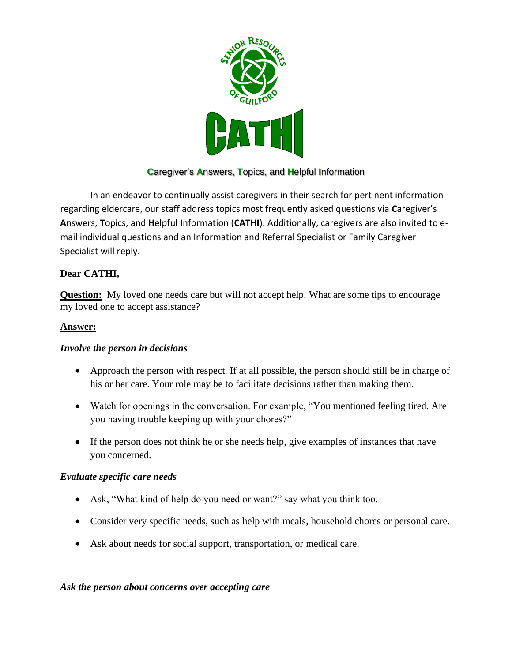

# **C**aregiver's **A**nswers, **T**opics, and **H**elpful **I**nformation

In an endeavor to continually assist caregivers in their search for pertinent information regarding eldercare, our staff address topics most frequently asked questions via **C**aregiver's **A**nswers, **T**opics, and **H**elpful **I**nformation (**CATHI**). Additionally, caregivers are also invited to email individual questions and an Information and Referral Specialist or Family Caregiver Specialist will reply.

### **Dear CATHI,**

**Question:** My loved one needs care but will not accept help. What are some tips to encourage my loved one to accept assistance?

### **Answer:**

#### *Involve the person in decisions*

- Approach the person with respect. If at all possible, the person should still be in charge of his or her care. Your role may be to facilitate decisions rather than making them.
- Watch for openings in the conversation. For example, "You mentioned feeling tired. Are you having trouble keeping up with your chores?"
- If the person does not think he or she needs help, give examples of instances that have you concerned.

### *Evaluate specific care needs*

- Ask, "What kind of help do you need or want?" say what you think too.
- Consider very specific needs, such as help with meals, household chores or personal care.
- Ask about needs for social support, transportation, or medical care.

#### *Ask the person about concerns over accepting care*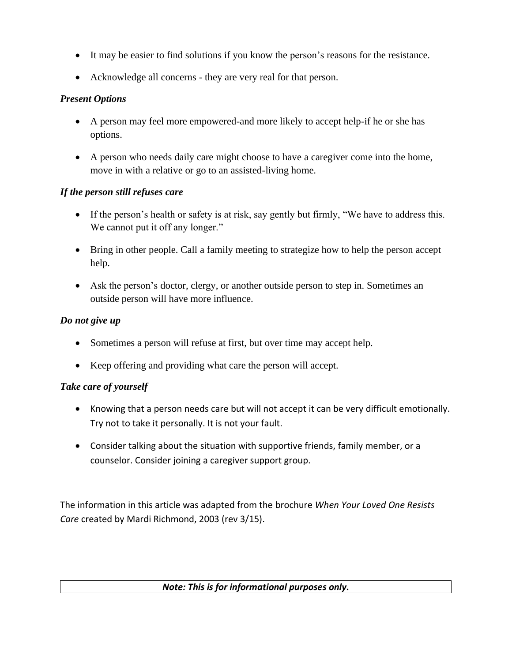- It may be easier to find solutions if you know the person's reasons for the resistance.
- Acknowledge all concerns they are very real for that person.

# *Present Options*

- A person may feel more empowered-and more likely to accept help-if he or she has options.
- A person who needs daily care might choose to have a caregiver come into the home, move in with a relative or go to an assisted-living home.

## *If the person still refuses care*

- If the person's health or safety is at risk, say gently but firmly, "We have to address this. We cannot put it off any longer."
- Bring in other people. Call a family meeting to strategize how to help the person accept help.
- Ask the person's doctor, clergy, or another outside person to step in. Sometimes an outside person will have more influence.

# *Do not give up*

- Sometimes a person will refuse at first, but over time may accept help.
- Keep offering and providing what care the person will accept.

## *Take care of yourself*

- Knowing that a person needs care but will not accept it can be very difficult emotionally. Try not to take it personally. It is not your fault.
- Consider talking about the situation with supportive friends, family member, or a counselor. Consider joining a caregiver support group.

The information in this article was adapted from the brochure *When Your Loved One Resists Care* created by Mardi Richmond, 2003 (rev 3/15).